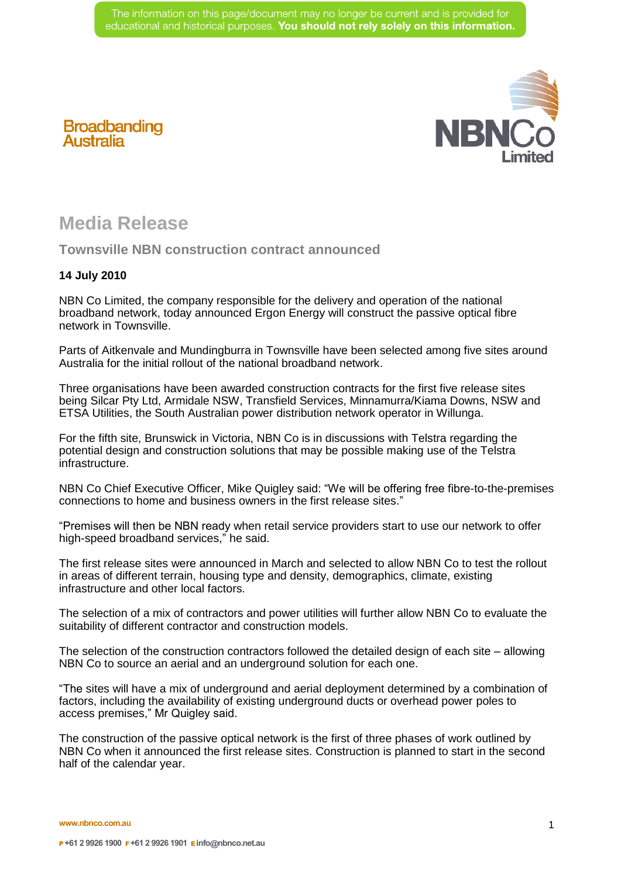

## **Broadbanding Australia**

## **Media Release**

**Townsville NBN construction contract announced** 

## **14 July 2010**

NBN Co Limited, the company responsible for the delivery and operation of the national broadband network, today announced Ergon Energy will construct the passive optical fibre network in Townsville.

Parts of Aitkenvale and Mundingburra in Townsville have been selected among five sites around Australia for the initial rollout of the national broadband network.

Three organisations have been awarded construction contracts for the first five release sites being Silcar Pty Ltd, Armidale NSW, Transfield Services, Minnamurra/Kiama Downs, NSW and ETSA Utilities, the South Australian power distribution network operator in Willunga.

For the fifth site, Brunswick in Victoria, NBN Co is in discussions with Telstra regarding the potential design and construction solutions that may be possible making use of the Telstra infrastructure.

NBN Co Chief Executive Officer, Mike Quigley said: "We will be offering free fibre-to-the-premises connections to home and business owners in the first release sites."

"Premises will then be NBN ready when retail service providers start to use our network to offer high-speed broadband services," he said.

The first release sites were announced in March and selected to allow NBN Co to test the rollout in areas of different terrain, housing type and density, demographics, climate, existing infrastructure and other local factors.

The selection of a mix of contractors and power utilities will further allow NBN Co to evaluate the suitability of different contractor and construction models.

The selection of the construction contractors followed the detailed design of each site – allowing NBN Co to source an aerial and an underground solution for each one.

"The sites will have a mix of underground and aerial deployment determined by a combination of factors, including the availability of existing underground ducts or overhead power poles to access premises," Mr Quigley said.

The construction of the passive optical network is the first of three phases of work outlined by NBN Co when it announced the first release sites. Construction is planned to start in the second half of the calendar year.

**www.nbnco.com.au**